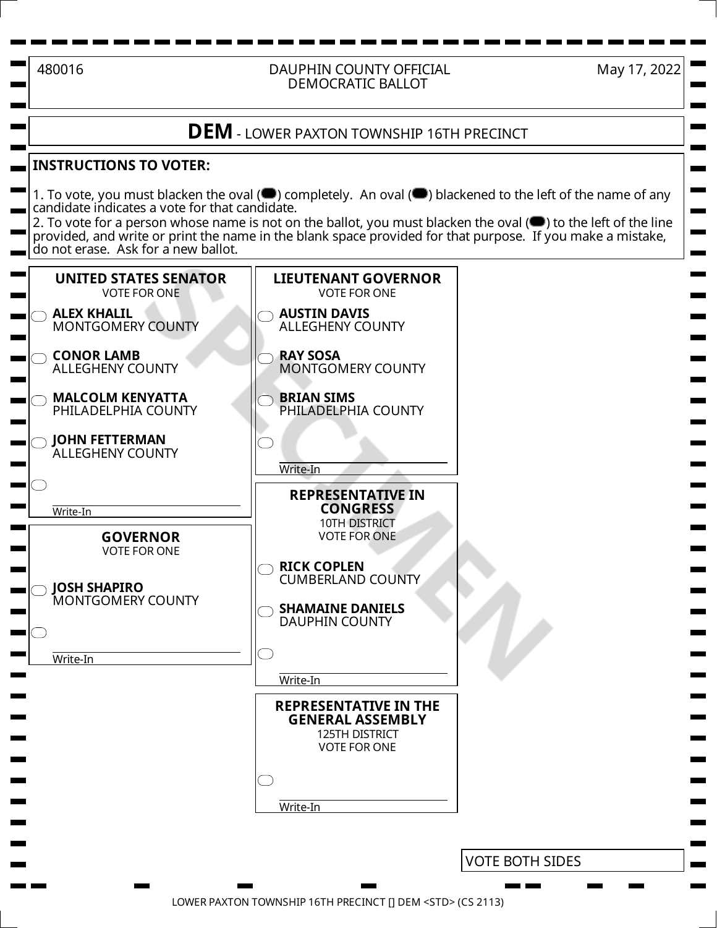## 480016 DAUPHIN COUNTY OFFICIAL DEMOCRATIC BALLOT

May 17, 2022

## **DEM** - LOWER PAXTON TOWNSHIP 16TH PRECINCT

## **INSTRUCTIONS TO VOTER:**

1. To vote, you must blacken the oval ( $\blacksquare$ ) completely. An oval ( $\blacksquare$ ) blackened to the left of the name of any candidate indicates a vote for that candidate.

2. To vote for a person whose name is not on the ballot, you must blacken the oval  $($ **)** to the left of the line provided, and write or print the name in the blank space provided for that purpose. If you make a mistake, do not erase. Ask for a new ballot.



VOTE BOTH SIDES